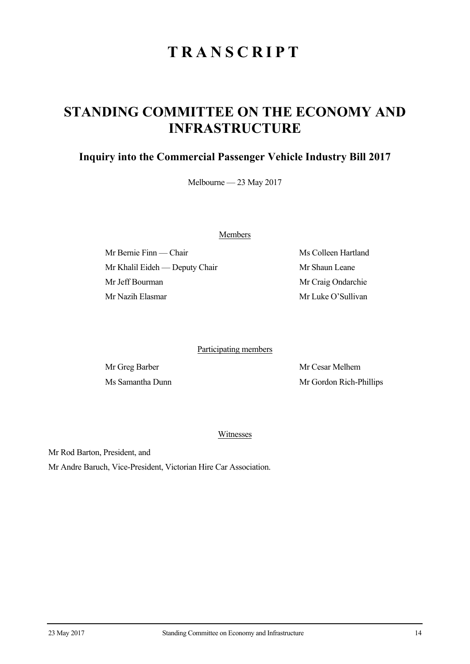## **TRANSCRIPT**

## **STANDING COMMITTEE ON THE ECONOMY AND INFRASTRUCTURE**

## **Inquiry into the Commercial Passenger Vehicle Industry Bill 2017**

Melbourne — 23 May 2017

Members

Mr Bernie Finn — Chair Ms Colleen Hartland Mr Khalil Eideh — Deputy Chair Mr Shaun Leane Mr Jeff Bourman Mr Craig Ondarchie Mr Nazih Elasmar Mr Luke O'Sullivan

Participating members

Mr Greg Barber Mr Cesar Melhem Ms Samantha Dunn Mr Gordon Rich-Phillips

Witnesses

Mr Rod Barton, President, and

Mr Andre Baruch, Vice-President, Victorian Hire Car Association.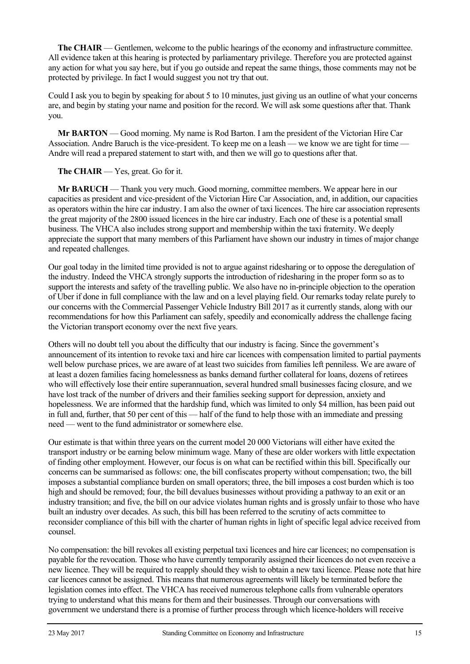**The CHAIR** — Gentlemen, welcome to the public hearings of the economy and infrastructure committee. All evidence taken at this hearing is protected by parliamentary privilege. Therefore you are protected against any action for what you say here, but if you go outside and repeat the same things, those comments may not be protected by privilege. In fact I would suggest you not try that out.

Could I ask you to begin by speaking for about 5 to 10 minutes, just giving us an outline of what your concerns are, and begin by stating your name and position for the record. We will ask some questions after that. Thank you.

**Mr BARTON** — Good morning. My name is Rod Barton. I am the president of the Victorian Hire Car Association. Andre Baruch is the vice-president. To keep me on a leash — we know we are tight for time — Andre will read a prepared statement to start with, and then we will go to questions after that.

## **The CHAIR** — Yes, great. Go for it.

**Mr BARUCH** — Thank you very much. Good morning, committee members. We appear here in our capacities as president and vice-president of the Victorian Hire Car Association, and, in addition, our capacities as operators within the hire car industry. I am also the owner of taxi licences. The hire car association represents the great majority of the 2800 issued licences in the hire car industry. Each one of these is a potential small business. The VHCA also includes strong support and membership within the taxi fraternity. We deeply appreciate the support that many members of this Parliament have shown our industry in times of major change and repeated challenges.

Our goal today in the limited time provided is not to argue against ridesharing or to oppose the deregulation of the industry. Indeed the VHCA strongly supports the introduction of ridesharing in the proper form so as to support the interests and safety of the travelling public. We also have no in-principle objection to the operation of Uber if done in full compliance with the law and on a level playing field. Our remarks today relate purely to our concerns with the Commercial Passenger Vehicle Industry Bill 2017 as it currently stands, along with our recommendations for how this Parliament can safely, speedily and economically address the challenge facing the Victorian transport economy over the next five years.

Others will no doubt tell you about the difficulty that our industry is facing. Since the government's announcement of its intention to revoke taxi and hire car licences with compensation limited to partial payments well below purchase prices, we are aware of at least two suicides from families left penniless. We are aware of at least a dozen families facing homelessness as banks demand further collateral for loans, dozens of retirees who will effectively lose their entire superannuation, several hundred small businesses facing closure, and we have lost track of the number of drivers and their families seeking support for depression, anxiety and hopelessness. We are informed that the hardship fund, which was limited to only \$4 million, has been paid out in full and, further, that 50 per cent of this — half of the fund to help those with an immediate and pressing need — went to the fund administrator or somewhere else.

Our estimate is that within three years on the current model 20 000 Victorians will either have exited the transport industry or be earning below minimum wage. Many of these are older workers with little expectation of finding other employment. However, our focus is on what can be rectified within this bill. Specifically our concerns can be summarised as follows: one, the bill confiscates property without compensation; two, the bill imposes a substantial compliance burden on small operators; three, the bill imposes a cost burden which is too high and should be removed; four, the bill devalues businesses without providing a pathway to an exit or an industry transition; and five, the bill on our advice violates human rights and is grossly unfair to those who have built an industry over decades. As such, this bill has been referred to the scrutiny of acts committee to reconsider compliance of this bill with the charter of human rights in light of specific legal advice received from counsel.

No compensation: the bill revokes all existing perpetual taxi licences and hire car licences; no compensation is payable for the revocation. Those who have currently temporarily assigned their licences do not even receive a new licence. They will be required to reapply should they wish to obtain a new taxi licence. Please note that hire car licences cannot be assigned. This means that numerous agreements will likely be terminated before the legislation comes into effect. The VHCA has received numerous telephone calls from vulnerable operators trying to understand what this means for them and their businesses. Through our conversations with government we understand there is a promise of further process through which licence-holders will receive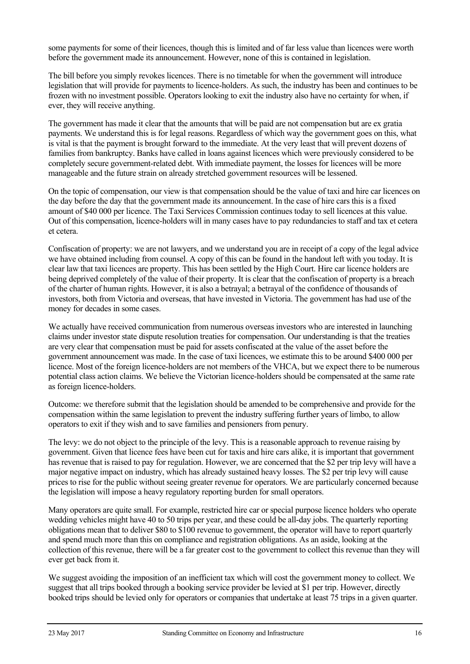some payments for some of their licences, though this is limited and of far less value than licences were worth before the government made its announcement. However, none of this is contained in legislation.

The bill before you simply revokes licences. There is no timetable for when the government will introduce legislation that will provide for payments to licence-holders. As such, the industry has been and continues to be frozen with no investment possible. Operators looking to exit the industry also have no certainty for when, if ever, they will receive anything.

The government has made it clear that the amounts that will be paid are not compensation but are ex gratia payments. We understand this is for legal reasons. Regardless of which way the government goes on this, what is vital is that the payment is brought forward to the immediate. At the very least that will prevent dozens of families from bankruptcy. Banks have called in loans against licences which were previously considered to be completely secure government-related debt. With immediate payment, the losses for licences will be more manageable and the future strain on already stretched government resources will be lessened.

On the topic of compensation, our view is that compensation should be the value of taxi and hire car licences on the day before the day that the government made its announcement. In the case of hire cars this is a fixed amount of \$40 000 per licence. The Taxi Services Commission continues today to sell licences at this value. Out of this compensation, licence-holders will in many cases have to pay redundancies to staff and tax et cetera et cetera.

Confiscation of property: we are not lawyers, and we understand you are in receipt of a copy of the legal advice we have obtained including from counsel. A copy of this can be found in the handout left with you today. It is clear law that taxi licences are property. This has been settled by the High Court. Hire car licence holders are being deprived completely of the value of their property. It is clear that the confiscation of property is a breach of the charter of human rights. However, it is also a betrayal; a betrayal of the confidence of thousands of investors, both from Victoria and overseas, that have invested in Victoria. The government has had use of the money for decades in some cases.

We actually have received communication from numerous overseas investors who are interested in launching claims under investor state dispute resolution treaties for compensation. Our understanding is that the treaties are very clear that compensation must be paid for assets confiscated at the value of the asset before the government announcement was made. In the case of taxi licences, we estimate this to be around \$400 000 per licence. Most of the foreign licence-holders are not members of the VHCA, but we expect there to be numerous potential class action claims. We believe the Victorian licence-holders should be compensated at the same rate as foreign licence-holders.

Outcome: we therefore submit that the legislation should be amended to be comprehensive and provide for the compensation within the same legislation to prevent the industry suffering further years of limbo, to allow operators to exit if they wish and to save families and pensioners from penury.

The levy: we do not object to the principle of the levy. This is a reasonable approach to revenue raising by government. Given that licence fees have been cut for taxis and hire cars alike, it is important that government has revenue that is raised to pay for regulation. However, we are concerned that the \$2 per trip levy will have a major negative impact on industry, which has already sustained heavy losses. The \$2 per trip levy will cause prices to rise for the public without seeing greater revenue for operators. We are particularly concerned because the legislation will impose a heavy regulatory reporting burden for small operators.

Many operators are quite small. For example, restricted hire car or special purpose licence holders who operate wedding vehicles might have 40 to 50 trips per year, and these could be all-day jobs. The quarterly reporting obligations mean that to deliver \$80 to \$100 revenue to government, the operator will have to report quarterly and spend much more than this on compliance and registration obligations. As an aside, looking at the collection of this revenue, there will be a far greater cost to the government to collect this revenue than they will ever get back from it.

We suggest avoiding the imposition of an inefficient tax which will cost the government money to collect. We suggest that all trips booked through a booking service provider be levied at \$1 per trip. However, directly booked trips should be levied only for operators or companies that undertake at least 75 trips in a given quarter.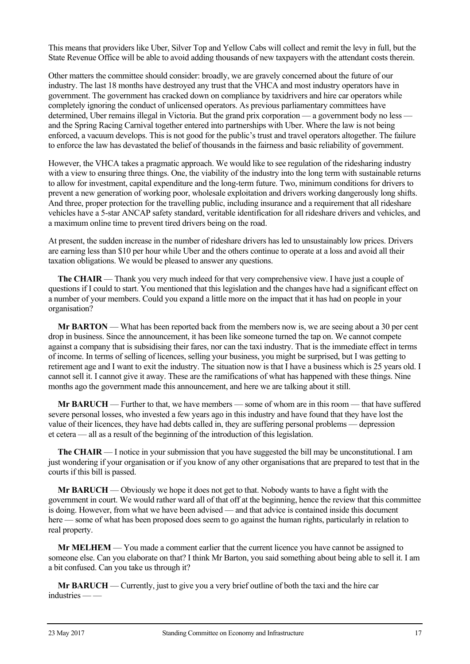This means that providers like Uber, Silver Top and Yellow Cabs will collect and remit the levy in full, but the State Revenue Office will be able to avoid adding thousands of new taxpayers with the attendant costs therein.

Other matters the committee should consider: broadly, we are gravely concerned about the future of our industry. The last 18 months have destroyed any trust that the VHCA and most industry operators have in government. The government has cracked down on compliance by taxidrivers and hire car operators while completely ignoring the conduct of unlicensed operators. As previous parliamentary committees have determined, Uber remains illegal in Victoria. But the grand prix corporation — a government body no less and the Spring Racing Carnival together entered into partnerships with Uber. Where the law is not being enforced, a vacuum develops. This is not good for the public's trust and travel operators altogether. The failure to enforce the law has devastated the belief of thousands in the fairness and basic reliability of government.

However, the VHCA takes a pragmatic approach. We would like to see regulation of the ridesharing industry with a view to ensuring three things. One, the viability of the industry into the long term with sustainable returns to allow for investment, capital expenditure and the long-term future. Two, minimum conditions for drivers to prevent a new generation of working poor, wholesale exploitation and drivers working dangerously long shifts. And three, proper protection for the travelling public, including insurance and a requirement that all rideshare vehicles have a 5-star ANCAP safety standard, veritable identification for all rideshare drivers and vehicles, and a maximum online time to prevent tired drivers being on the road.

At present, the sudden increase in the number of rideshare drivers has led to unsustainably low prices. Drivers are earning less than \$10 per hour while Uber and the others continue to operate at a loss and avoid all their taxation obligations. We would be pleased to answer any questions.

**The CHAIR** — Thank you very much indeed for that very comprehensive view. I have just a couple of questions if I could to start. You mentioned that this legislation and the changes have had a significant effect on a number of your members. Could you expand a little more on the impact that it has had on people in your organisation?

**Mr BARTON** — What has been reported back from the members now is, we are seeing about a 30 per cent drop in business. Since the announcement, it has been like someone turned the tap on. We cannot compete against a company that is subsidising their fares, nor can the taxi industry. That is the immediate effect in terms of income. In terms of selling of licences, selling your business, you might be surprised, but I was getting to retirement age and I want to exit the industry. The situation now is that I have a business which is 25 years old. I cannot sell it. I cannot give it away. These are the ramifications of what has happened with these things. Nine months ago the government made this announcement, and here we are talking about it still.

**Mr BARUCH** — Further to that, we have members — some of whom are in this room — that have suffered severe personal losses, who invested a few years ago in this industry and have found that they have lost the value of their licences, they have had debts called in, they are suffering personal problems — depression et cetera — all as a result of the beginning of the introduction of this legislation.

**The CHAIR** — I notice in your submission that you have suggested the bill may be unconstitutional. I am just wondering if your organisation or if you know of any other organisations that are prepared to test that in the courts if this bill is passed.

**Mr BARUCH** — Obviously we hope it does not get to that. Nobody wants to have a fight with the government in court. We would rather ward all of that off at the beginning, hence the review that this committee is doing. However, from what we have been advised — and that advice is contained inside this document here — some of what has been proposed does seem to go against the human rights, particularly in relation to real property.

**Mr MELHEM** — You made a comment earlier that the current licence you have cannot be assigned to someone else. Can you elaborate on that? I think Mr Barton, you said something about being able to sell it. I am a bit confused. Can you take us through it?

**Mr BARUCH** — Currently, just to give you a very brief outline of both the taxi and the hire car industries — —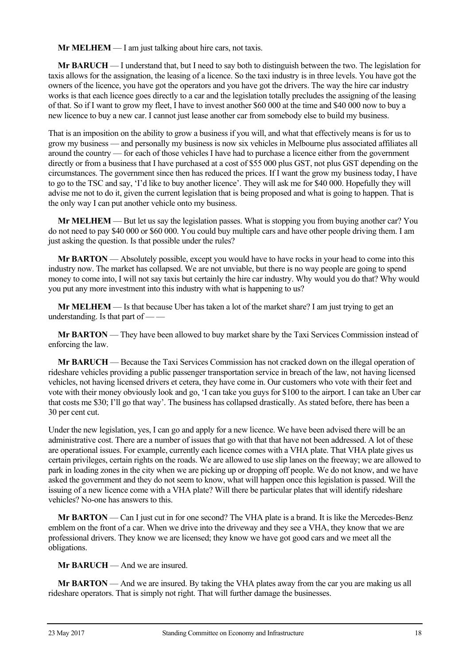**Mr MELHEM** — I am just talking about hire cars, not taxis.

**Mr BARUCH** — I understand that, but I need to say both to distinguish between the two. The legislation for taxis allows for the assignation, the leasing of a licence. So the taxi industry is in three levels. You have got the owners of the licence, you have got the operators and you have got the drivers. The way the hire car industry works is that each licence goes directly to a car and the legislation totally precludes the assigning of the leasing of that. So if I want to grow my fleet, I have to invest another \$60 000 at the time and \$40 000 now to buy a new licence to buy a new car. I cannot just lease another car from somebody else to build my business.

That is an imposition on the ability to grow a business if you will, and what that effectively means is for us to grow my business — and personally my business is now six vehicles in Melbourne plus associated affiliates all around the country — for each of those vehicles I have had to purchase a licence either from the government directly or from a business that I have purchased at a cost of \$55 000 plus GST, not plus GST depending on the circumstances. The government since then has reduced the prices. If I want the grow my business today, I have to go to the TSC and say, 'I'd like to buy another licence'. They will ask me for \$40 000. Hopefully they will advise me not to do it, given the current legislation that is being proposed and what is going to happen. That is the only way I can put another vehicle onto my business.

**Mr MELHEM** — But let us say the legislation passes. What is stopping you from buying another car? You do not need to pay \$40 000 or \$60 000. You could buy multiple cars and have other people driving them. I am just asking the question. Is that possible under the rules?

**Mr BARTON** — Absolutely possible, except you would have to have rocks in your head to come into this industry now. The market has collapsed. We are not unviable, but there is no way people are going to spend money to come into, I will not say taxis but certainly the hire car industry. Why would you do that? Why would you put any more investment into this industry with what is happening to us?

**Mr MELHEM** — Is that because Uber has taken a lot of the market share? I am just trying to get an understanding. Is that part of — —

**Mr BARTON** — They have been allowed to buy market share by the Taxi Services Commission instead of enforcing the law.

**Mr BARUCH** — Because the Taxi Services Commission has not cracked down on the illegal operation of rideshare vehicles providing a public passenger transportation service in breach of the law, not having licensed vehicles, not having licensed drivers et cetera, they have come in. Our customers who vote with their feet and vote with their money obviously look and go, 'I can take you guys for \$100 to the airport. I can take an Uber car that costs me \$30; I'll go that way'. The business has collapsed drastically. As stated before, there has been a 30 per cent cut.

Under the new legislation, yes, I can go and apply for a new licence. We have been advised there will be an administrative cost. There are a number of issues that go with that that have not been addressed. A lot of these are operational issues. For example, currently each licence comes with a VHA plate. That VHA plate gives us certain privileges, certain rights on the roads. We are allowed to use slip lanes on the freeway; we are allowed to park in loading zones in the city when we are picking up or dropping off people. We do not know, and we have asked the government and they do not seem to know, what will happen once this legislation is passed. Will the issuing of a new licence come with a VHA plate? Will there be particular plates that will identify rideshare vehicles? No-one has answers to this.

**Mr BARTON** — Can I just cut in for one second? The VHA plate is a brand. It is like the Mercedes-Benz emblem on the front of a car. When we drive into the driveway and they see a VHA, they know that we are professional drivers. They know we are licensed; they know we have got good cars and we meet all the obligations.

**Mr BARUCH** — And we are insured.

**Mr BARTON** — And we are insured. By taking the VHA plates away from the car you are making us all rideshare operators. That is simply not right. That will further damage the businesses.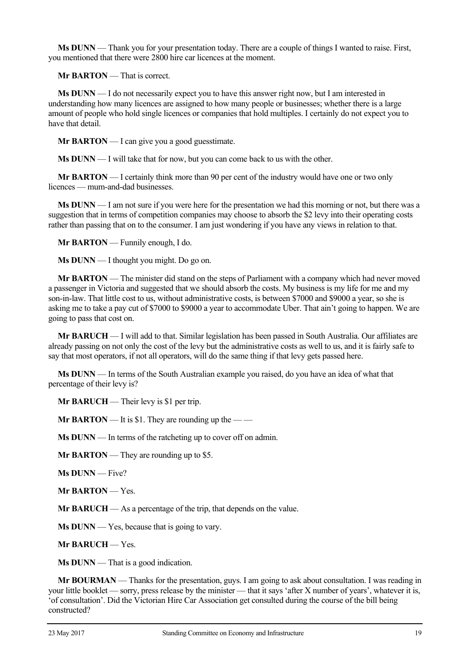**Ms DUNN** — Thank you for your presentation today. There are a couple of things I wanted to raise. First, you mentioned that there were 2800 hire car licences at the moment.

**Mr BARTON** — That is correct.

**Ms DUNN** — I do not necessarily expect you to have this answer right now, but I am interested in understanding how many licences are assigned to how many people or businesses; whether there is a large amount of people who hold single licences or companies that hold multiples. I certainly do not expect you to have that detail.

**Mr BARTON** — I can give you a good guesstimate.

**Ms DUNN** — I will take that for now, but you can come back to us with the other.

**Mr BARTON** — I certainly think more than 90 per cent of the industry would have one or two only licences — mum-and-dad businesses.

**Ms DUNN** — I am not sure if you were here for the presentation we had this morning or not, but there was a suggestion that in terms of competition companies may choose to absorb the \$2 levy into their operating costs rather than passing that on to the consumer. I am just wondering if you have any views in relation to that.

**Mr BARTON** — Funnily enough, I do.

**Ms DUNN** — I thought you might. Do go on.

**Mr BARTON** — The minister did stand on the steps of Parliament with a company which had never moved a passenger in Victoria and suggested that we should absorb the costs. My business is my life for me and my son-in-law. That little cost to us, without administrative costs, is between \$7000 and \$9000 a year, so she is asking me to take a pay cut of \$7000 to \$9000 a year to accommodate Uber. That ain't going to happen. We are going to pass that cost on.

**Mr BARUCH** — I will add to that. Similar legislation has been passed in South Australia. Our affiliates are already passing on not only the cost of the levy but the administrative costs as well to us, and it is fairly safe to say that most operators, if not all operators, will do the same thing if that levy gets passed here.

**Ms DUNN** — In terms of the South Australian example you raised, do you have an idea of what that percentage of their levy is?

**Mr BARUCH** — Their levy is \$1 per trip.

**Mr BARTON** — It is \$1. They are rounding up the — —

**Ms DUNN** — In terms of the ratcheting up to cover off on admin.

**Mr BARTON** — They are rounding up to \$5.

**Ms DUNN** — Five?

**Mr BARTON** — Yes.

**Mr BARUCH** — As a percentage of the trip, that depends on the value.

**Ms DUNN** — Yes, because that is going to vary.

**Mr BARUCH** — Yes.

**Ms DUNN** — That is a good indication.

**Mr BOURMAN** — Thanks for the presentation, guys. I am going to ask about consultation. I was reading in your little booklet — sorry, press release by the minister — that it says 'after X number of years', whatever it is, 'of consultation'. Did the Victorian Hire Car Association get consulted during the course of the bill being constructed?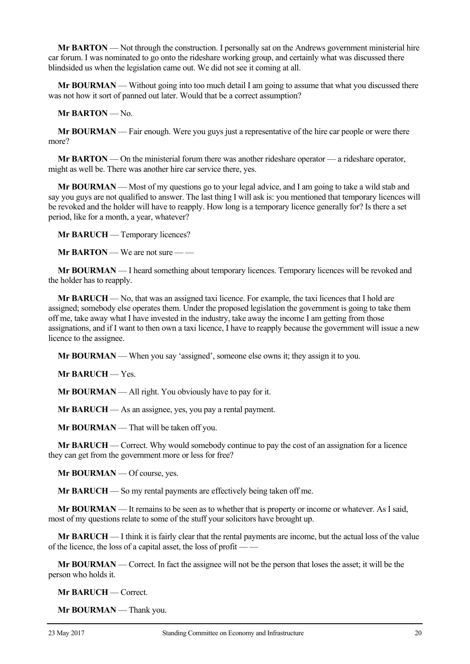**Mr BARTON** — Not through the construction. I personally sat on the Andrews government ministerial hire car forum. I was nominated to go onto the rideshare working group, and certainly what was discussed there blindsided us when the legislation came out. We did not see it coming at all.

**Mr BOURMAN** — Without going into too much detail I am going to assume that what you discussed there was not how it sort of panned out later. Would that be a correct assumption?

**Mr BARTON** — No.

**Mr BOURMAN** — Fair enough. Were you guys just a representative of the hire car people or were there more?

**Mr BARTON** — On the ministerial forum there was another rideshare operator — a rideshare operator, might as well be. There was another hire car service there, yes.

**Mr BOURMAN** — Most of my questions go to your legal advice, and I am going to take a wild stab and say you guys are not qualified to answer. The last thing I will ask is: you mentioned that temporary licences will be revoked and the holder will have to reapply. How long is a temporary licence generally for? Is there a set period, like for a month, a year, whatever?

**Mr BARUCH** — Temporary licences?

**Mr BARTON** — We are not sure — —

**Mr BOURMAN** — I heard something about temporary licences. Temporary licences will be revoked and the holder has to reapply.

**Mr BARUCH** — No, that was an assigned taxi licence. For example, the taxi licences that I hold are assigned; somebody else operates them. Under the proposed legislation the government is going to take them off me, take away what I have invested in the industry, take away the income I am getting from those assignations, and if I want to then own a taxi licence, I have to reapply because the government will issue a new licence to the assignee.

**Mr BOURMAN** — When you say 'assigned', someone else owns it; they assign it to you.

**Mr BARUCH** — Yes.

**Mr BOURMAN** — All right. You obviously have to pay for it.

**Mr BARUCH** — As an assignee, yes, you pay a rental payment.

**Mr BOURMAN** — That will be taken off you.

**Mr BARUCH** — Correct. Why would somebody continue to pay the cost of an assignation for a licence they can get from the government more or less for free?

**Mr BOURMAN** — Of course, yes.

**Mr BARUCH** — So my rental payments are effectively being taken off me.

**Mr BOURMAN** — It remains to be seen as to whether that is property or income or whatever. As I said, most of my questions relate to some of the stuff your solicitors have brought up.

**Mr BARUCH** — I think it is fairly clear that the rental payments are income, but the actual loss of the value of the licence, the loss of a capital asset, the loss of profit -

**Mr BOURMAN** — Correct. In fact the assignee will not be the person that loses the asset; it will be the person who holds it.

**Mr BARUCH** — Correct.

**Mr BOURMAN** — Thank you.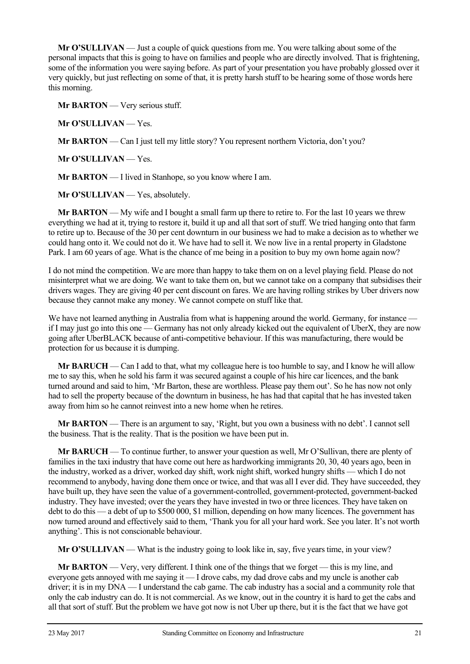**Mr O'SULLIVAN** — Just a couple of quick questions from me. You were talking about some of the personal impacts that this is going to have on families and people who are directly involved. That is frightening, some of the information you were saying before. As part of your presentation you have probably glossed over it very quickly, but just reflecting on some of that, it is pretty harsh stuff to be hearing some of those words here this morning.

**Mr BARTON** — Very serious stuff.

**Mr O'SULLIVAN** — Yes.

**Mr BARTON** — Can I just tell my little story? You represent northern Victoria, don't you?

**Mr O'SULLIVAN** — Yes.

**Mr BARTON** — I lived in Stanhope, so you know where I am.

**Mr O'SULLIVAN** — Yes, absolutely.

**Mr BARTON** — My wife and I bought a small farm up there to retire to. For the last 10 years we threw everything we had at it, trying to restore it, build it up and all that sort of stuff. We tried hanging onto that farm to retire up to. Because of the 30 per cent downturn in our business we had to make a decision as to whether we could hang onto it. We could not do it. We have had to sell it. We now live in a rental property in Gladstone Park. I am 60 years of age. What is the chance of me being in a position to buy my own home again now?

I do not mind the competition. We are more than happy to take them on on a level playing field. Please do not misinterpret what we are doing. We want to take them on, but we cannot take on a company that subsidises their drivers wages. They are giving 40 per cent discount on fares. We are having rolling strikes by Uber drivers now because they cannot make any money. We cannot compete on stuff like that.

We have not learned anything in Australia from what is happening around the world. Germany, for instance if I may just go into this one — Germany has not only already kicked out the equivalent of UberX, they are now going after UberBLACK because of anti-competitive behaviour. If this was manufacturing, there would be protection for us because it is dumping.

**Mr BARUCH** — Can I add to that, what my colleague here is too humble to say, and I know he will allow me to say this, when he sold his farm it was secured against a couple of his hire car licences, and the bank turned around and said to him, 'Mr Barton, these are worthless. Please pay them out'. So he has now not only had to sell the property because of the downturn in business, he has had that capital that he has invested taken away from him so he cannot reinvest into a new home when he retires.

**Mr BARTON** — There is an argument to say, 'Right, but you own a business with no debt'. I cannot sell the business. That is the reality. That is the position we have been put in.

**Mr BARUCH** — To continue further, to answer your question as well, Mr O'Sullivan, there are plenty of families in the taxi industry that have come out here as hardworking immigrants 20, 30, 40 years ago, been in the industry, worked as a driver, worked day shift, work night shift, worked hungry shifts — which I do not recommend to anybody, having done them once or twice, and that was all I ever did. They have succeeded, they have built up, they have seen the value of a government-controlled, government-protected, government-backed industry. They have invested; over the years they have invested in two or three licences. They have taken on debt to do this — a debt of up to \$500 000, \$1 million, depending on how many licences. The government has now turned around and effectively said to them, 'Thank you for all your hard work. See you later. It's not worth anything'. This is not conscionable behaviour.

**Mr O'SULLIVAN** — What is the industry going to look like in, say, five years time, in your view?

**Mr BARTON** — Very, very different. I think one of the things that we forget — this is my line, and everyone gets annoyed with me saying it — I drove cabs, my dad drove cabs and my uncle is another cab driver; it is in my DNA — I understand the cab game. The cab industry has a social and a community role that only the cab industry can do. It is not commercial. As we know, out in the country it is hard to get the cabs and all that sort of stuff. But the problem we have got now is not Uber up there, but it is the fact that we have got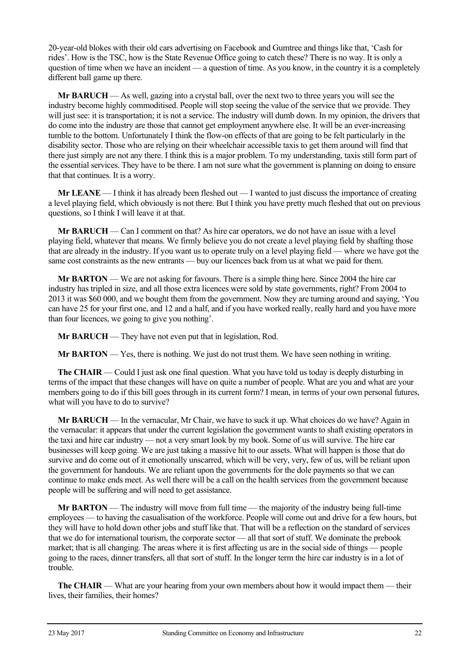20-year-old blokes with their old cars advertising on Facebook and Gumtree and things like that, 'Cash for rides'. How is the TSC, how is the State Revenue Office going to catch these? There is no way. It is only a question of time when we have an incident — a question of time. As you know, in the country it is a completely different ball game up there.

**Mr BARUCH** — As well, gazing into a crystal ball, over the next two to three years you will see the industry become highly commoditised. People will stop seeing the value of the service that we provide. They will just see: it is transportation; it is not a service. The industry will dumb down. In my opinion, the drivers that do come into the industry are those that cannot get employment anywhere else. It will be an ever-increasing tumble to the bottom. Unfortunately I think the flow-on effects of that are going to be felt particularly in the disability sector. Those who are relying on their wheelchair accessible taxis to get them around will find that there just simply are not any there. I think this is a major problem. To my understanding, taxis still form part of the essential services. They have to be there. I am not sure what the government is planning on doing to ensure that that continues. It is a worry.

**Mr LEANE** — I think it has already been fleshed out — I wanted to just discuss the importance of creating a level playing field, which obviously is not there. But I think you have pretty much fleshed that out on previous questions, so I think I will leave it at that.

**Mr BARUCH** — Can I comment on that? As hire car operators, we do not have an issue with a level playing field, whatever that means. We firmly believe you do not create a level playing field by shafting those that are already in the industry. If you want us to operate truly on a level playing field — where we have got the same cost constraints as the new entrants — buy our licences back from us at what we paid for them.

**Mr BARTON** — We are not asking for favours. There is a simple thing here. Since 2004 the hire car industry has tripled in size, and all those extra licences were sold by state governments, right? From 2004 to 2013 it was \$60 000, and we bought them from the government. Now they are turning around and saying, 'You can have 25 for your first one, and 12 and a half, and if you have worked really, really hard and you have more than four licences, we going to give you nothing'.

**Mr BARUCH** — They have not even put that in legislation, Rod.

**Mr BARTON** — Yes, there is nothing. We just do not trust them. We have seen nothing in writing.

**The CHAIR** — Could I just ask one final question. What you have told us today is deeply disturbing in terms of the impact that these changes will have on quite a number of people. What are you and what are your members going to do if this bill goes through in its current form? I mean, in terms of your own personal futures, what will you have to do to survive?

**Mr BARUCH** — In the vernacular, Mr Chair, we have to suck it up. What choices do we have? Again in the vernacular: it appears that under the current legislation the government wants to shaft existing operators in the taxi and hire car industry — not a very smart look by my book. Some of us will survive. The hire car businesses will keep going. We are just taking a massive hit to our assets. What will happen is those that do survive and do come out of it emotionally unscarred, which will be very, very, few of us, will be reliant upon the government for handouts. We are reliant upon the governments for the dole payments so that we can continue to make ends meet. As well there will be a call on the health services from the government because people will be suffering and will need to get assistance.

**Mr BARTON** — The industry will move from full time — the majority of the industry being full-time employees — to having the casualisation of the workforce. People will come out and drive for a few hours, but they will have to hold down other jobs and stuff like that. That will be a reflection on the standard of services that we do for international tourism, the corporate sector — all that sort of stuff. We dominate the prebook market; that is all changing. The areas where it is first affecting us are in the social side of things — people going to the races, dinner transfers, all that sort of stuff. In the longer term the hire car industry is in a lot of trouble.

**The CHAIR** — What are your hearing from your own members about how it would impact them — their lives, their families, their homes?